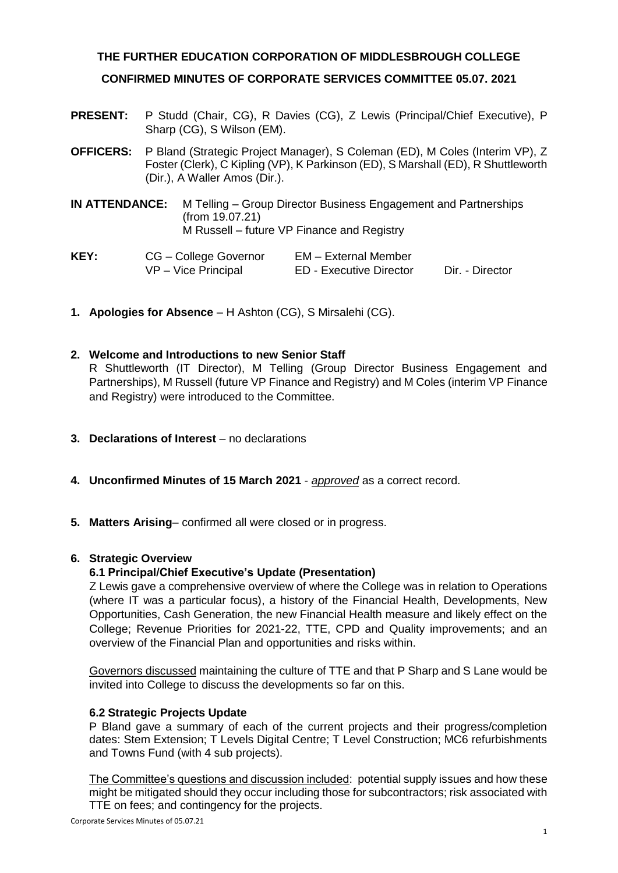### **THE FURTHER EDUCATION CORPORATION OF MIDDLESBROUGH COLLEGE**

### **CONFIRMED MINUTES OF CORPORATE SERVICES COMMITTEE 05.07. 2021**

- **PRESENT:** P Studd (Chair, CG), R Davies (CG), Z Lewis (Principal/Chief Executive), P Sharp (CG), S Wilson (EM).
- **OFFICERS:** P Bland (Strategic Project Manager), S Coleman (ED), M Coles (Interim VP), Z Foster (Clerk), C Kipling (VP), K Parkinson (ED), S Marshall (ED), R Shuttleworth (Dir.), A Waller Amos (Dir.).
- **IN ATTENDANCE:** M Telling Group Director Business Engagement and Partnerships (from 19.07.21) M Russell – future VP Finance and Registry
- **KEY:** CG College Governor EM External Member<br>VP Vice Principal ED Executive Director ED - Executive Director Dir. - Director
- **1. Apologies for Absence** H Ashton (CG), S Mirsalehi (CG).

### **2. Welcome and Introductions to new Senior Staff**

R Shuttleworth (IT Director), M Telling (Group Director Business Engagement and Partnerships), M Russell (future VP Finance and Registry) and M Coles (interim VP Finance and Registry) were introduced to the Committee.

- **3. Declarations of Interest** no declarations
- **4. Unconfirmed Minutes of 15 March 2021** *approved* as a correct record.
- **5. Matters Arising** confirmed all were closed or in progress.

#### **6. Strategic Overview**

### **6.1 Principal/Chief Executive's Update (Presentation)**

Z Lewis gave a comprehensive overview of where the College was in relation to Operations (where IT was a particular focus), a history of the Financial Health, Developments, New Opportunities, Cash Generation, the new Financial Health measure and likely effect on the College; Revenue Priorities for 2021-22, TTE, CPD and Quality improvements; and an overview of the Financial Plan and opportunities and risks within.

Governors discussed maintaining the culture of TTE and that P Sharp and S Lane would be invited into College to discuss the developments so far on this.

### **6.2 Strategic Projects Update**

P Bland gave a summary of each of the current projects and their progress/completion dates: Stem Extension; T Levels Digital Centre; T Level Construction; MC6 refurbishments and Towns Fund (with 4 sub projects).

The Committee's questions and discussion included: potential supply issues and how these might be mitigated should they occur including those for subcontractors; risk associated with TTE on fees; and contingency for the projects.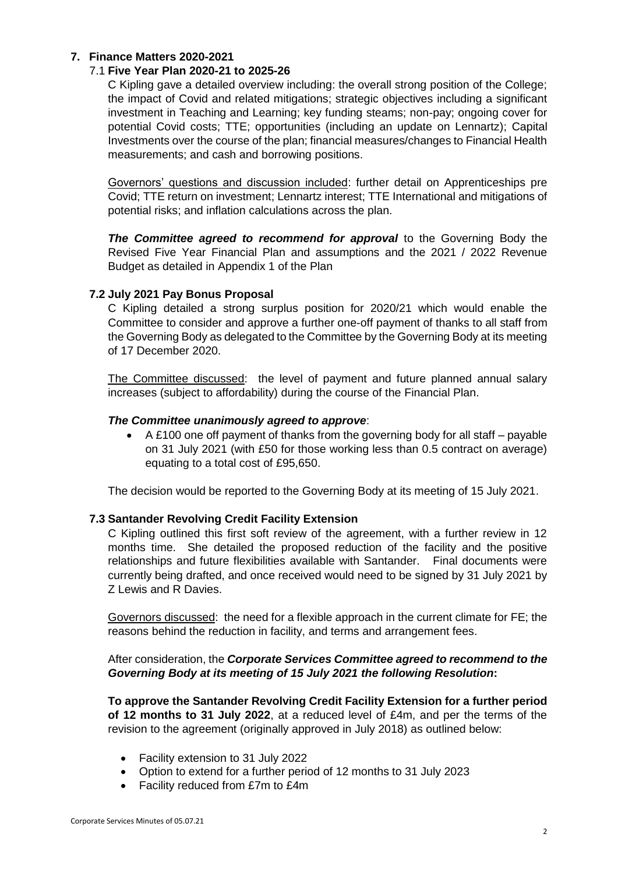## **7. Finance Matters 2020-2021**

### 7.1 **Five Year Plan 2020-21 to 2025-26**

C Kipling gave a detailed overview including: the overall strong position of the College; the impact of Covid and related mitigations; strategic objectives including a significant investment in Teaching and Learning; key funding steams; non-pay; ongoing cover for potential Covid costs; TTE; opportunities (including an update on Lennartz); Capital Investments over the course of the plan; financial measures/changes to Financial Health measurements; and cash and borrowing positions.

Governors' questions and discussion included: further detail on Apprenticeships pre Covid; TTE return on investment; Lennartz interest; TTE International and mitigations of potential risks; and inflation calculations across the plan.

*The Committee agreed to recommend for approval* to the Governing Body the Revised Five Year Financial Plan and assumptions and the 2021 / 2022 Revenue Budget as detailed in Appendix 1 of the Plan

### **7.2 July 2021 Pay Bonus Proposal**

C Kipling detailed a strong surplus position for 2020/21 which would enable the Committee to consider and approve a further one-off payment of thanks to all staff from the Governing Body as delegated to the Committee by the Governing Body at its meeting of 17 December 2020.

The Committee discussed: the level of payment and future planned annual salary increases (subject to affordability) during the course of the Financial Plan.

### *The Committee unanimously agreed to approve*:

• A £100 one off payment of thanks from the governing body for all staff – payable on 31 July 2021 (with £50 for those working less than 0.5 contract on average) equating to a total cost of £95,650.

The decision would be reported to the Governing Body at its meeting of 15 July 2021.

### **7.3 Santander Revolving Credit Facility Extension**

C Kipling outlined this first soft review of the agreement, with a further review in 12 months time. She detailed the proposed reduction of the facility and the positive relationships and future flexibilities available with Santander. Final documents were currently being drafted, and once received would need to be signed by 31 July 2021 by Z Lewis and R Davies.

Governors discussed: the need for a flexible approach in the current climate for FE; the reasons behind the reduction in facility, and terms and arrangement fees.

### After consideration, the *Corporate Services Committee agreed to recommend to the Governing Body at its meeting of 15 July 2021 the following Resolution***:**

**To approve the Santander Revolving Credit Facility Extension for a further period of 12 months to 31 July 2022**, at a reduced level of £4m, and per the terms of the revision to the agreement (originally approved in July 2018) as outlined below:

- Facility extension to 31 July 2022
- Option to extend for a further period of 12 months to 31 July 2023
- Facility reduced from £7m to £4m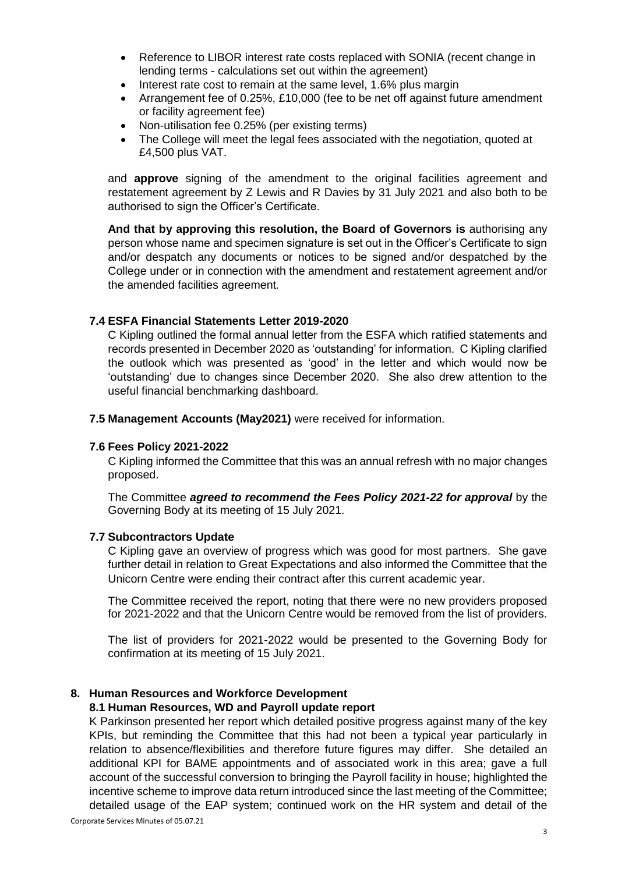- Reference to LIBOR interest rate costs replaced with SONIA (recent change in lending terms - calculations set out within the agreement)
- Interest rate cost to remain at the same level, 1.6% plus margin
- Arrangement fee of 0.25%, £10,000 (fee to be net off against future amendment or facility agreement fee)
- Non-utilisation fee 0.25% (per existing terms)
- The College will meet the legal fees associated with the negotiation, quoted at £4,500 plus VAT.

and **approve** signing of the amendment to the original facilities agreement and restatement agreement by Z Lewis and R Davies by 31 July 2021 and also both to be authorised to sign the Officer's Certificate.

**And that by approving this resolution, the Board of Governors is** authorising any person whose name and specimen signature is set out in the Officer's Certificate to sign and/or despatch any documents or notices to be signed and/or despatched by the College under or in connection with the amendment and restatement agreement and/or the amended facilities agreement*.*

### **7.4 ESFA Financial Statements Letter 2019-2020**

C Kipling outlined the formal annual letter from the ESFA which ratified statements and records presented in December 2020 as 'outstanding' for information. C Kipling clarified the outlook which was presented as 'good' in the letter and which would now be 'outstanding' due to changes since December 2020. She also drew attention to the useful financial benchmarking dashboard.

**7.5 Management Accounts (May2021)** were received for information.

#### **7.6 Fees Policy 2021-2022**

C Kipling informed the Committee that this was an annual refresh with no major changes proposed.

The Committee *agreed to recommend the Fees Policy 2021-22 for approval* by the Governing Body at its meeting of 15 July 2021.

#### **7.7 Subcontractors Update**

C Kipling gave an overview of progress which was good for most partners. She gave further detail in relation to Great Expectations and also informed the Committee that the Unicorn Centre were ending their contract after this current academic year.

The Committee received the report, noting that there were no new providers proposed for 2021-2022 and that the Unicorn Centre would be removed from the list of providers.

The list of providers for 2021-2022 would be presented to the Governing Body for confirmation at its meeting of 15 July 2021.

### **8. Human Resources and Workforce Development**

### **8.1 Human Resources, WD and Payroll update report**

K Parkinson presented her report which detailed positive progress against many of the key KPIs, but reminding the Committee that this had not been a typical year particularly in relation to absence/flexibilities and therefore future figures may differ. She detailed an additional KPI for BAME appointments and of associated work in this area; gave a full account of the successful conversion to bringing the Payroll facility in house; highlighted the incentive scheme to improve data return introduced since the last meeting of the Committee; detailed usage of the EAP system; continued work on the HR system and detail of the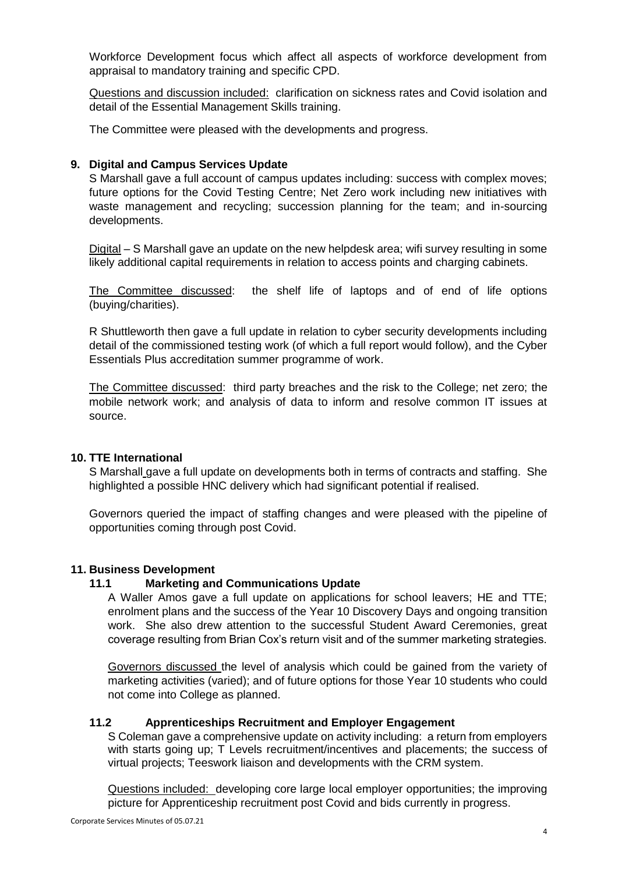Workforce Development focus which affect all aspects of workforce development from appraisal to mandatory training and specific CPD.

Questions and discussion included: clarification on sickness rates and Covid isolation and detail of the Essential Management Skills training.

The Committee were pleased with the developments and progress.

# **9. Digital and Campus Services Update**

S Marshall gave a full account of campus updates including: success with complex moves; future options for the Covid Testing Centre; Net Zero work including new initiatives with waste management and recycling; succession planning for the team; and in-sourcing developments.

Digital – S Marshall gave an update on the new helpdesk area; wifi survey resulting in some likely additional capital requirements in relation to access points and charging cabinets.

The Committee discussed: the shelf life of laptops and of end of life options (buying/charities).

R Shuttleworth then gave a full update in relation to cyber security developments including detail of the commissioned testing work (of which a full report would follow), and the Cyber Essentials Plus accreditation summer programme of work.

The Committee discussed: third party breaches and the risk to the College; net zero; the mobile network work; and analysis of data to inform and resolve common IT issues at source.

### **10. TTE International**

S Marshall gave a full update on developments both in terms of contracts and staffing. She highlighted a possible HNC delivery which had significant potential if realised.

Governors queried the impact of staffing changes and were pleased with the pipeline of opportunities coming through post Covid.

### **11. Business Development**

### **11.1 Marketing and Communications Update**

A Waller Amos gave a full update on applications for school leavers; HE and TTE; enrolment plans and the success of the Year 10 Discovery Days and ongoing transition work. She also drew attention to the successful Student Award Ceremonies, great coverage resulting from Brian Cox's return visit and of the summer marketing strategies.

Governors discussed the level of analysis which could be gained from the variety of marketing activities (varied); and of future options for those Year 10 students who could not come into College as planned.

# **11.2 Apprenticeships Recruitment and Employer Engagement**

S Coleman gave a comprehensive update on activity including: a return from employers with starts going up; T Levels recruitment/incentives and placements; the success of virtual projects; Teeswork liaison and developments with the CRM system.

Questions included: developing core large local employer opportunities; the improving picture for Apprenticeship recruitment post Covid and bids currently in progress.